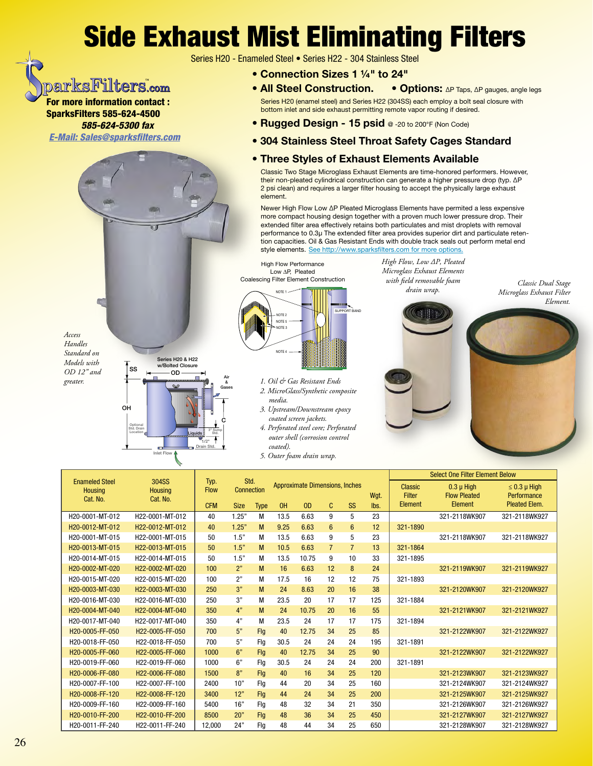## **Side Exhaust Mist Eliminating Filters**

Series H20 - Enameled Steel · Series H22 - 304 Stainless Steel

- Connection Sizes 1 1/4" to 24"
- All Steel Construction. • Options: AP Taps, AP gauges, angle legs Series H20 (enamel steel) and Series H22 (304SS) each employ a bolt seal closure with bottom inlet and side exhaust permitting remote vapor routing if desired.
- Rugged Design 15 psid @ -20 to 200°F (Non Code)
- 304 Stainless Steel Throat Safety Cages Standard

## • Three Styles of Exhaust Elements Available

Classic Two Stage Microglass Exhaust Elements are time-honored performers. However, their non-pleated cylindrical construction can generate a higher pressure drop (typ.  $\Delta P$ 2 psi clean) and requires a larger filter housing to accept the physically large exhaust element.

Newer High Flow Low ΔP Pleated Microglass Elements have permited a less expensive more compact housing design together with a proven much lower pressure drop. Their extended filter area effectively retains both particulates and mist droplets with removal performance to 0.3µ The extended filter area provides superior dirt and particulate retention capacities. Oil & Gas Resistant Ends with double track seals out perform metal end style elements. See http://www.sparksfilters.com for more options

Access Handles Standard on Models with  $OD 12"$  and greater.

parksFilters.com

**For more information contact:** 

585-624-5300 fax **E-Mail: Sales@sparksfilters.com** 

**SparksFilters 585-624-4500** 



**High Flow Performance** Low AP, Pleated Coalescing Filter Element Construction



- 1. Oil & Gas Resistant Ends 2. MicroGlass/Synthetic composite media.
- 3. Upstream/Downstream epoxy coated screen jackets.
- 4. Perforated steel core; Perforated outer shell (corrosion control coated).
- 5. Outer foam drain wrap.

High Flow, Low AP, Pleated Microglass Exhaust Elements with field removable foam drain wrap.



Classic Dual Stage

Element.

| 304SS<br><b>Enameled Steel</b><br><b>Housing</b><br><b>Housing</b> |                 | Typ.                             | Std.        |             | Approximate Dimensions, Inches |       |                |                |      | <u>OGIECI QITE LIITEI EIGITIEIII DEIOM</u> |                                       |                                     |
|--------------------------------------------------------------------|-----------------|----------------------------------|-------------|-------------|--------------------------------|-------|----------------|----------------|------|--------------------------------------------|---------------------------------------|-------------------------------------|
|                                                                    |                 | <b>Connection</b><br><b>Flow</b> |             |             |                                |       |                |                |      | <b>Classic</b>                             | $0.3 \mu$ High                        | $\leq 0.3 \mu$ High                 |
| Cat. No.                                                           | Cat. No.        |                                  |             |             |                                | OD    |                |                | Wqt. | <b>Filter</b><br><b>Element</b>            | <b>Flow Pleated</b><br><b>Element</b> | Performance<br><b>Pleated Elem.</b> |
|                                                                    |                 | <b>CFM</b>                       | <b>Size</b> | <b>Type</b> | 0H                             |       | C              | <b>SS</b>      | lbs. |                                            |                                       |                                     |
| H20-0001-MT-012                                                    | H22-0001-MT-012 | 40                               | 1.25"       | М           | 13.5                           | 6.63  | 9              | 5              | 23   |                                            | 321-2118WK907                         | 321-2118WK927                       |
| H20-0012-MT-012                                                    | H22-0012-MT-012 | 40                               | 1.25"       | М           | 9.25                           | 6.63  | $6\phantom{1}$ | $6\phantom{1}$ | 12   | 321-1890                                   |                                       |                                     |
| H20-0001-MT-015                                                    | H22-0001-MT-015 | 50                               | 1.5"        | М           | 13.5                           | 6.63  | 9              | 5              | 23   |                                            | 321-2118WK907                         | 321-2118WK927                       |
| H20-0013-MT-015                                                    | H22-0013-MT-015 | 50                               | 1.5"        | M           | 10.5                           | 6.63  | $\overline{7}$ | $\overline{7}$ | 13   | 321-1864                                   |                                       |                                     |
| H20-0014-MT-015                                                    | H22-0014-MT-015 | 50                               | 1.5"        | М           | 13.5                           | 10.75 | 9              | 10             | 33   | 321-1895                                   |                                       |                                     |
| H20-0002-MT-020                                                    | H22-0002-MT-020 | 100                              | 2"          | M           | 16                             | 6.63  | 12             | 8              | 24   |                                            | 321-2119WK907                         | 321-2119WK927                       |
| H20-0015-MT-020                                                    | H22-0015-MT-020 | 100                              | 2"          | М           | 17.5                           | 16    | 12             | 12             | 75   | 321-1893                                   |                                       |                                     |
| H20-0003-MT-030                                                    | H22-0003-MT-030 | 250                              | 3"          | M           | 24                             | 8.63  | 20             | 16             | 38   |                                            | 321-2120WK907                         | 321-2120WK927                       |
| H20-0016-MT-030                                                    | H22-0016-MT-030 | 250                              | 3"          | М           | 23.5                           | 20    | 17             | 17             | 125  | 321-1884                                   |                                       |                                     |
| H20-0004-MT-040                                                    | H22-0004-MT-040 | 350                              | 4"          | M           | 24                             | 10.75 | 20             | 16             | 55   |                                            | 321-2121WK907                         | 321-2121WK927                       |
| H20-0017-MT-040                                                    | H22-0017-MT-040 | 350                              | 4"          | М           | 23.5                           | 24    | 17             | 17             | 175  | 321-1894                                   |                                       |                                     |
| H20-0005-FF-050                                                    | H22-0005-FF-050 | 700                              | 5"          | Flg         | 40                             | 12.75 | 34             | 25             | 85   |                                            | 321-2122WK907                         | 321-2122WK927                       |
| H20-0018-FF-050                                                    | H22-0018-FF-050 | 700                              | 5"          | Flg         | 30.5                           | 24    | 24             | 24             | 195  | 321-1891                                   |                                       |                                     |
| H20-0005-FF-060                                                    | H22-0005-FF-060 | 1000                             | 6"          | Flg         | 40                             | 12.75 | 34             | 25             | 90   |                                            | 321-2122WK907                         | 321-2122WK927                       |
| H20-0019-FF-060                                                    | H22-0019-FF-060 | 1000                             | 6"          | Flg         | 30.5                           | 24    | 24             | 24             | 200  | 321-1891                                   |                                       |                                     |
| H20-0006-FF-080                                                    | H22-0006-FF-080 | 1500                             | 8"          | Flg         | 40                             | 16    | 34             | 25             | 120  |                                            | 321-2123WK907                         | 321-2123WK927                       |
| H20-0007-FF-100                                                    | H22-0007-FF-100 | 2400                             | 10"         | Flg         | 44                             | 20    | 34             | 25             | 160  |                                            | 321-2124WK907                         | 321-2124WK927                       |
| H20-0008-FF-120                                                    | H22-0008-FF-120 | 3400                             | 12"         | Flg         | 44                             | 24    | 34             | 25             | 200  |                                            | 321-2125WK907                         | 321-2125WK927                       |
| H20-0009-FF-160                                                    | H22-0009-FF-160 | 5400                             | 16"         | Flg         | 48                             | 32    | 34             | 21             | 350  |                                            | 321-2126WK907                         | 321-2126WK927                       |
| H20-0010-FF-200                                                    | H22-0010-FF-200 | 8500                             | 20"         | Flg         | 48                             | 36    | 34             | 25             | 450  |                                            | 321-2127WK907                         | 321-2127WK927                       |
| H20-0011-FF-240                                                    | H22-0011-FF-240 | 12,000                           | 24"         | Flg         | 48                             | 44    | 34             | 25             | 650  |                                            | 321-2128WK907                         | 321-2128WK927                       |